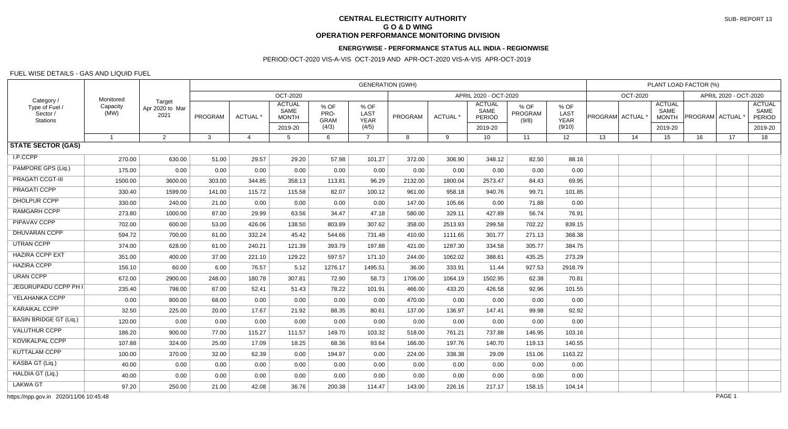# **CENTRAL ELECTRICITY AUTHORITY G O & D WING OPERATION PERFORMANCE MONITORING DIVISION**

### **ENERGYWISE - PERFORMANCE STATUS ALL INDIA - REGIONWISE**

### PERIOD:OCT-2020 VIS-A-VIS OCT-2019 AND APR-OCT-2020 VIS-A-VIS APR-OCT-2019

#### FUEL WISE DETAILS - GAS AND LIQUID FUEL

| Category /<br>Type of Fuel /<br>Sector /<br>Stations | Monitored<br>Capacity<br>(MW) | Target<br>Apr 2020 to Mar<br>2021 | <b>GENERATION (GWH)</b> |                |                                       |                             |                             |                       |          |                                        |                          |                             | PLANT LOAD FACTOR (%)                 |          |                                       |                       |    |                                        |  |
|------------------------------------------------------|-------------------------------|-----------------------------------|-------------------------|----------------|---------------------------------------|-----------------------------|-----------------------------|-----------------------|----------|----------------------------------------|--------------------------|-----------------------------|---------------------------------------|----------|---------------------------------------|-----------------------|----|----------------------------------------|--|
|                                                      |                               |                                   | OCT-2020                |                |                                       |                             |                             | APRIL 2020 - OCT-2020 |          |                                        |                          |                             |                                       | OCT-2020 |                                       | APRIL 2020 - OCT-2020 |    |                                        |  |
|                                                      |                               |                                   | PROGRAM                 | ACTUAL *       | <b>ACTUAL</b><br>SAME<br><b>MONTH</b> | % OF<br>PRO-<br><b>GRAM</b> | % OF<br>LAST<br><b>YEAR</b> | PROGRAM               | ACTUAL * | <b>ACTUAL</b><br>SAME<br><b>PERIOD</b> | % OF<br>PROGRAM<br>(9/8) | % OF<br>LAST<br><b>YEAR</b> | $ {\sf PROGRAM} $ ACTUAL $^{\dagger}$ |          | <b>ACTUAL</b><br>SAME<br><b>MONTH</b> | <b>PROGRAM</b> ACTUAL |    | <b>ACTUAL</b><br>SAME<br><b>PERIOD</b> |  |
|                                                      |                               |                                   |                         |                | 2019-20                               | (4/3)                       | (4/5)                       |                       |          | 2019-20                                |                          | (9/10)                      |                                       |          | 2019-20                               |                       |    | 2019-20                                |  |
| <b>STATE SECTOR (GAS)</b>                            | $\overline{\mathbf{1}}$       | $\overline{2}$                    | 3                       | $\overline{a}$ | 5                                     | 6                           | $\overline{7}$              | 8                     | 9        | 10 <sup>1</sup>                        | 11                       | 12 <sup>°</sup>             | 13                                    | 14       | 15                                    | 16                    | 17 | 18                                     |  |
|                                                      |                               |                                   |                         |                |                                       |                             |                             |                       |          |                                        |                          |                             |                                       |          |                                       |                       |    |                                        |  |
| I.P.CCPP                                             | 270.00                        | 630.00                            | 51.00                   | 29.57          | 29.20                                 | 57.98                       | 101.27                      | 372.00                | 306.90   | 348.12                                 | 82.50                    | 88.16                       |                                       |          |                                       |                       |    |                                        |  |
| PAMPORE GPS (Liq.)                                   | 175.00                        | 0.00                              | 0.00                    | 0.00           | 0.00                                  | 0.00                        | 0.00                        | 0.00                  | 0.00     | 0.00                                   | 0.00                     | 0.00                        |                                       |          |                                       |                       |    |                                        |  |
| PRAGATI CCGT-III                                     | 1500.00                       | 3600.00                           | 303.00                  | 344.85         | 358.13                                | 113.81                      | 96.29                       | 2132.00               | 1800.04  | 2573.47                                | 84.43                    | 69.95                       |                                       |          |                                       |                       |    |                                        |  |
| PRAGATI CCPP                                         | 330.40                        | 1599.00                           | 141.00                  | 115.72         | 115.58                                | 82.07                       | 100.12                      | 961.00                | 958.18   | 940.76                                 | 99.71                    | 101.85                      |                                       |          |                                       |                       |    |                                        |  |
| <b>DHOLPUR CCPP</b>                                  | 330.00                        | 240.00                            | 21.00                   | 0.00           | 0.00                                  | 0.00                        | 0.00                        | 147.00                | 105.66   | 0.00                                   | 71.88                    | 0.00                        |                                       |          |                                       |                       |    |                                        |  |
| <b>RAMGARH CCPP</b>                                  | 273.80                        | 1000.00                           | 87.00                   | 29.99          | 63.56                                 | 34.47                       | 47.18                       | 580.00                | 329.11   | 427.89                                 | 56.74                    | 76.91                       |                                       |          |                                       |                       |    |                                        |  |
| PIPAVAV CCPP                                         | 702.00                        | 600.00                            | 53.00                   | 426.06         | 138.50                                | 803.89                      | 307.62                      | 358.00                | 2513.93  | 299.58                                 | 702.22                   | 839.15                      |                                       |          |                                       |                       |    |                                        |  |
| DHUVARAN CCPP                                        | 594.72                        | 700.00                            | 61.00                   | 332.24         | 45.42                                 | 544.66                      | 731.48                      | 410.00                | 1111.65  | 301.77                                 | 271.13                   | 368.38                      |                                       |          |                                       |                       |    |                                        |  |
| <b>UTRAN CCPP</b>                                    | 374.00                        | 628.00                            | 61.00                   | 240.21         | 121.39                                | 393.79                      | 197.88                      | 421.00                | 1287.30  | 334.58                                 | 305.77                   | 384.75                      |                                       |          |                                       |                       |    |                                        |  |
| <b>HAZIRA CCPP EXT</b>                               | 351.00                        | 400.00                            | 37.00                   | 221.10         | 129.22                                | 597.57                      | 171.10                      | 244.00                | 1062.02  | 388.61                                 | 435.25                   | 273.29                      |                                       |          |                                       |                       |    |                                        |  |
| <b>HAZIRA CCPP</b>                                   | 156.10                        | 60.00                             | 6.00                    | 76.57          | 5.12                                  | 1276.17                     | 1495.51                     | 36.00                 | 333.91   | 11.44                                  | 927.53                   | 2918.79                     |                                       |          |                                       |                       |    |                                        |  |
| <b>URAN CCPP</b>                                     | 672.00                        | 2900.00                           | 248.00                  | 180.78         | 307.81                                | 72.90                       | 58.73                       | 1706.00               | 1064.19  | 1502.95                                | 62.38                    | 70.81                       |                                       |          |                                       |                       |    |                                        |  |
| JEGURUPADU CCPP PH I                                 | 235.40                        | 798.00                            | 67.00                   | 52.41          | 51.43                                 | 78.22                       | 101.91                      | 466.00                | 433.20   | 426.58                                 | 92.96                    | 101.55                      |                                       |          |                                       |                       |    |                                        |  |
| YELAHANKA CCPP                                       | 0.00                          | 800.00                            | 68.00                   | 0.00           | 0.00                                  | 0.00                        | 0.00                        | 470.00                | 0.00     | 0.00                                   | 0.00                     | 0.00                        |                                       |          |                                       |                       |    |                                        |  |
| <b>KARAIKAL CCPP</b>                                 | 32.50                         | 225.00                            | 20.00                   | 17.67          | 21.92                                 | 88.35                       | 80.61                       | 137.00                | 136.97   | 147.41                                 | 99.98                    | 92.92                       |                                       |          |                                       |                       |    |                                        |  |
| <b>BASIN BRIDGE GT (Liq.)</b>                        | 120.00                        | 0.00                              | 0.00                    | 0.00           | 0.00                                  | 0.00                        | 0.00                        | 0.00                  | 0.00     | 0.00                                   | 0.00                     | 0.00                        |                                       |          |                                       |                       |    |                                        |  |
| <b>VALUTHUR CCPP</b>                                 | 186.20                        | 900.00                            | 77.00                   | 115.27         | 111.57                                | 149.70                      | 103.32                      | 518.00                | 761.21   | 737.88                                 | 146.95                   | 103.16                      |                                       |          |                                       |                       |    |                                        |  |
| <b>KOVIKALPAL CCPP</b>                               | 107.88                        | 324.00                            | 25.00                   | 17.09          | 18.25                                 | 68.36                       | 93.64                       | 166.00                | 197.76   | 140.70                                 | 119.13                   | 140.55                      |                                       |          |                                       |                       |    |                                        |  |
| <b>KUTTALAM CCPP</b>                                 | 100.00                        | 370.00                            | 32.00                   | 62.39          | 0.00                                  | 194.97                      | 0.00                        | 224.00                | 338.38   | 29.09                                  | 151.06                   | 1163.22                     |                                       |          |                                       |                       |    |                                        |  |
| KASBA GT (Liq.)                                      | 40.00                         | 0.00                              | 0.00                    | 0.00           | 0.00                                  | 0.00                        | 0.00                        | 0.00                  | 0.00     | 0.00                                   | 0.00                     | 0.00                        |                                       |          |                                       |                       |    |                                        |  |
| HALDIA GT (Liq.)                                     | 40.00                         | 0.00                              | 0.00                    | 0.00           | 0.00                                  | 0.00                        | 0.00                        | 0.00                  | 0.00     | 0.00                                   | 0.00                     | 0.00                        |                                       |          |                                       |                       |    |                                        |  |
| <b>LAKWA GT</b>                                      | 97.20                         | 250.00                            | 21.00                   | 42.08          | 36.76                                 | 200.38                      | 114.47                      | 143.00                | 226.16   | 217.17                                 | 158.15                   | 104.14                      |                                       |          |                                       |                       |    |                                        |  |

https://npp.gov.in 2020/11/06 10:45:48